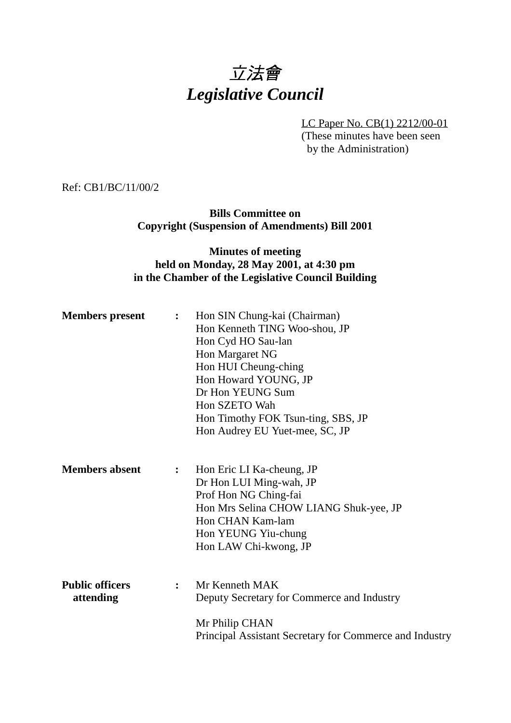# 立法會 *Legislative Council*

LC Paper No. CB(1) 2212/00-01 (These minutes have been seen by the Administration)

Ref: CB1/BC/11/00/2

**Bills Committee on Copyright (Suspension of Amendments) Bill 2001**

#### **Minutes of meeting held on Monday, 28 May 2001, at 4:30 pm in the Chamber of the Legislative Council Building**

| <b>Members</b> present              | $\ddot{\cdot}$ | Hon SIN Chung-kai (Chairman)<br>Hon Kenneth TING Woo-shou, JP<br>Hon Cyd HO Sau-lan<br>Hon Margaret NG<br>Hon HUI Cheung-ching<br>Hon Howard YOUNG, JP<br>Dr Hon YEUNG Sum<br>Hon SZETO Wah<br>Hon Timothy FOK Tsun-ting, SBS, JP<br>Hon Audrey EU Yuet-mee, SC, JP |
|-------------------------------------|----------------|---------------------------------------------------------------------------------------------------------------------------------------------------------------------------------------------------------------------------------------------------------------------|
| <b>Members absent</b>               | $\ddot{\cdot}$ | Hon Eric LI Ka-cheung, JP<br>Dr Hon LUI Ming-wah, JP<br>Prof Hon NG Ching-fai<br>Hon Mrs Selina CHOW LIANG Shuk-yee, JP<br>Hon CHAN Kam-lam<br>Hon YEUNG Yiu-chung<br>Hon LAW Chi-kwong, JP                                                                         |
| <b>Public officers</b><br>attending | $\ddot{\cdot}$ | Mr Kenneth MAK<br>Deputy Secretary for Commerce and Industry<br>Mr Philip CHAN<br>Principal Assistant Secretary for Commerce and Industry                                                                                                                           |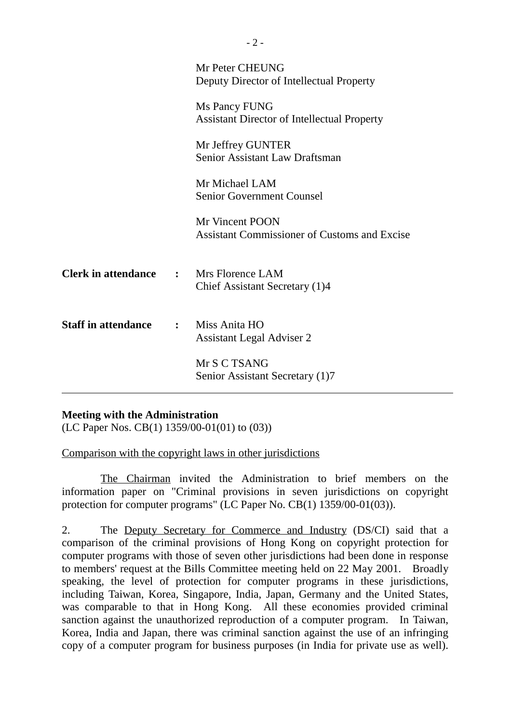|                            |              | Mr Peter CHEUNG<br>Deputy Director of Intellectual Property            |
|----------------------------|--------------|------------------------------------------------------------------------|
|                            |              | Ms Pancy FUNG<br><b>Assistant Director of Intellectual Property</b>    |
|                            |              | Mr Jeffrey GUNTER<br><b>Senior Assistant Law Draftsman</b>             |
|                            |              | Mr Michael LAM<br><b>Senior Government Counsel</b>                     |
|                            |              | Mr Vincent POON<br><b>Assistant Commissioner of Customs and Excise</b> |
| <b>Clerk in attendance</b> |              | : Mrs Florence LAM<br>Chief Assistant Secretary (1)4                   |
| <b>Staff in attendance</b> | $\mathbf{L}$ | Miss Anita HO<br><b>Assistant Legal Adviser 2</b>                      |
|                            |              | Mr S C TSANG<br>Senior Assistant Secretary (1)7                        |

#### **Meeting with the Administration**

(LC Paper Nos. CB(1) 1359/00-01(01) to (03))

Comparison with the copyright laws in other jurisdictions

The Chairman invited the Administration to brief members on the information paper on "Criminal provisions in seven jurisdictions on copyright protection for computer programs" (LC Paper No. CB(1) 1359/00-01(03)).

2. The Deputy Secretary for Commerce and Industry (DS/CI) said that a comparison of the criminal provisions of Hong Kong on copyright protection for computer programs with those of seven other jurisdictions had been done in response to members' request at the Bills Committee meeting held on 22 May 2001. Broadly speaking, the level of protection for computer programs in these jurisdictions, including Taiwan, Korea, Singapore, India, Japan, Germany and the United States, was comparable to that in Hong Kong. All these economies provided criminal sanction against the unauthorized reproduction of a computer program. In Taiwan, Korea, India and Japan, there was criminal sanction against the use of an infringing copy of a computer program for business purposes (in India for private use as well).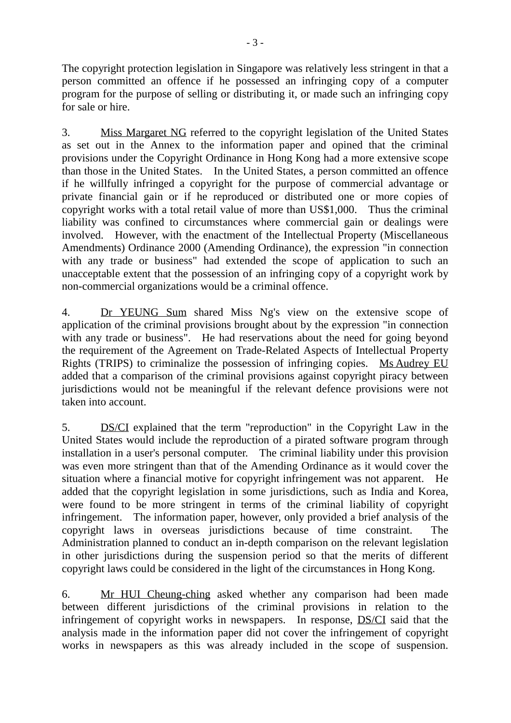The copyright protection legislation in Singapore was relatively less stringent in that a person committed an offence if he possessed an infringing copy of a computer program for the purpose of selling or distributing it, or made such an infringing copy for sale or hire.

3. Miss Margaret NG referred to the copyright legislation of the United States as set out in the Annex to the information paper and opined that the criminal provisions under the Copyright Ordinance in Hong Kong had a more extensive scope than those in the United States. In the United States, a person committed an offence if he willfully infringed a copyright for the purpose of commercial advantage or private financial gain or if he reproduced or distributed one or more copies of copyright works with a total retail value of more than US\$1,000. Thus the criminal liability was confined to circumstances where commercial gain or dealings were involved. However, with the enactment of the Intellectual Property (Miscellaneous Amendments) Ordinance 2000 (Amending Ordinance), the expression "in connection with any trade or business" had extended the scope of application to such an unacceptable extent that the possession of an infringing copy of a copyright work by non-commercial organizations would be a criminal offence.

4. Dr YEUNG Sum shared Miss Ng's view on the extensive scope of application of the criminal provisions brought about by the expression "in connection with any trade or business". He had reservations about the need for going beyond the requirement of the Agreement on Trade-Related Aspects of Intellectual Property Rights (TRIPS) to criminalize the possession of infringing copies. Ms Audrey EU added that a comparison of the criminal provisions against copyright piracy between jurisdictions would not be meaningful if the relevant defence provisions were not taken into account.

5. DS/CI explained that the term "reproduction" in the Copyright Law in the United States would include the reproduction of a pirated software program through installation in a user's personal computer. The criminal liability under this provision was even more stringent than that of the Amending Ordinance as it would cover the situation where a financial motive for copyright infringement was not apparent. He added that the copyright legislation in some jurisdictions, such as India and Korea, were found to be more stringent in terms of the criminal liability of copyright infringement. The information paper, however, only provided a brief analysis of the copyright laws in overseas jurisdictions because of time constraint. The Administration planned to conduct an in-depth comparison on the relevant legislation in other jurisdictions during the suspension period so that the merits of different copyright laws could be considered in the light of the circumstances in Hong Kong.

6. Mr HUI Cheung-ching asked whether any comparison had been made between different jurisdictions of the criminal provisions in relation to the infringement of copyright works in newspapers. In response, DS/CI said that the analysis made in the information paper did not cover the infringement of copyright works in newspapers as this was already included in the scope of suspension.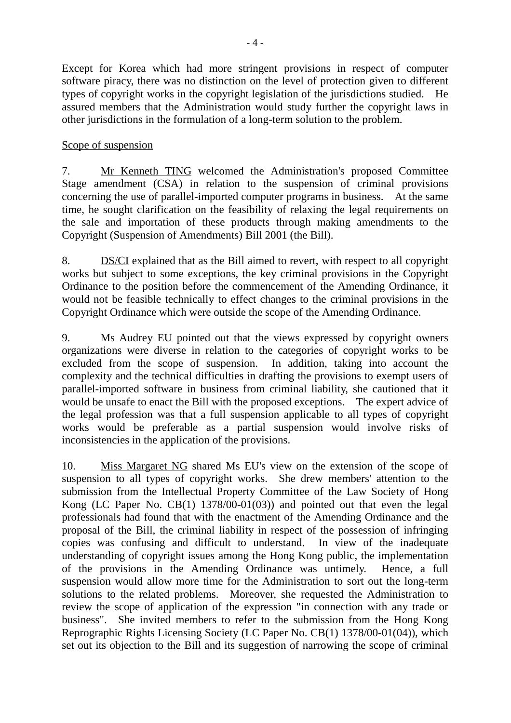Except for Korea which had more stringent provisions in respect of computer software piracy, there was no distinction on the level of protection given to different types of copyright works in the copyright legislation of the jurisdictions studied. He assured members that the Administration would study further the copyright laws in other jurisdictions in the formulation of a long-term solution to the problem.

#### Scope of suspension

7. Mr Kenneth TING welcomed the Administration's proposed Committee Stage amendment (CSA) in relation to the suspension of criminal provisions concerning the use of parallel-imported computer programs in business. At the same time, he sought clarification on the feasibility of relaxing the legal requirements on the sale and importation of these products through making amendments to the Copyright (Suspension of Amendments) Bill 2001 (the Bill).

8. DS/CI explained that as the Bill aimed to revert, with respect to all copyright works but subject to some exceptions, the key criminal provisions in the Copyright Ordinance to the position before the commencement of the Amending Ordinance, it would not be feasible technically to effect changes to the criminal provisions in the Copyright Ordinance which were outside the scope of the Amending Ordinance.

9. Ms Audrey EU pointed out that the views expressed by copyright owners organizations were diverse in relation to the categories of copyright works to be excluded from the scope of suspension. In addition, taking into account the complexity and the technical difficulties in drafting the provisions to exempt users of parallel-imported software in business from criminal liability, she cautioned that it would be unsafe to enact the Bill with the proposed exceptions. The expert advice of the legal profession was that a full suspension applicable to all types of copyright works would be preferable as a partial suspension would involve risks of inconsistencies in the application of the provisions.

10. Miss Margaret NG shared Ms EU's view on the extension of the scope of suspension to all types of copyright works. She drew members' attention to the submission from the Intellectual Property Committee of the Law Society of Hong Kong (LC Paper No. CB(1) 1378/00-01(03)) and pointed out that even the legal professionals had found that with the enactment of the Amending Ordinance and the proposal of the Bill, the criminal liability in respect of the possession of infringing copies was confusing and difficult to understand. In view of the inadequate understanding of copyright issues among the Hong Kong public, the implementation of the provisions in the Amending Ordinance was untimely. Hence, a full suspension would allow more time for the Administration to sort out the long-term solutions to the related problems. Moreover, she requested the Administration to review the scope of application of the expression "in connection with any trade or business". She invited members to refer to the submission from the Hong Kong Reprographic Rights Licensing Society (LC Paper No. CB(1) 1378/00-01(04)), which set out its objection to the Bill and its suggestion of narrowing the scope of criminal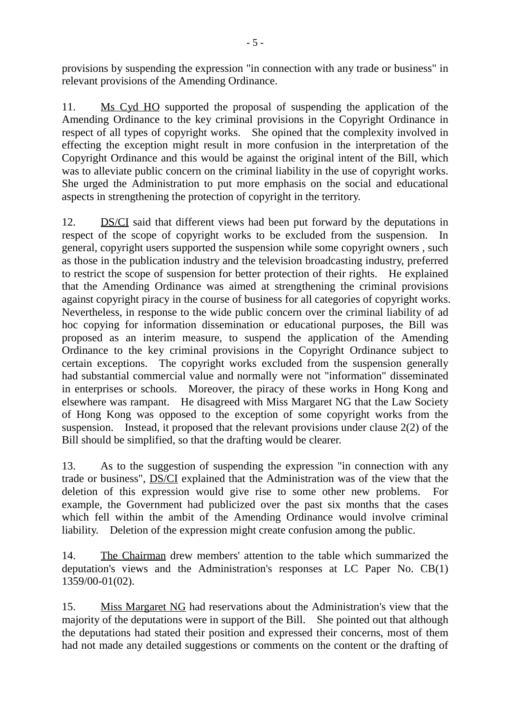provisions by suspending the expression "in connection with any trade or business" in relevant provisions of the Amending Ordinance.

11. Ms Cyd HO supported the proposal of suspending the application of the Amending Ordinance to the key criminal provisions in the Copyright Ordinance in respect of all types of copyright works. She opined that the complexity involved in effecting the exception might result in more confusion in the interpretation of the Copyright Ordinance and this would be against the original intent of the Bill, which was to alleviate public concern on the criminal liability in the use of copyright works. She urged the Administration to put more emphasis on the social and educational aspects in strengthening the protection of copyright in the territory.

12. DS/CI said that different views had been put forward by the deputations in respect of the scope of copyright works to be excluded from the suspension. In general, copyright users supported the suspension while some copyright owners , such as those in the publication industry and the television broadcasting industry, preferred to restrict the scope of suspension for better protection of their rights. He explained that the Amending Ordinance was aimed at strengthening the criminal provisions against copyright piracy in the course of business for all categories of copyright works. Nevertheless, in response to the wide public concern over the criminal liability of ad hoc copying for information dissemination or educational purposes, the Bill was proposed as an interim measure, to suspend the application of the Amending Ordinance to the key criminal provisions in the Copyright Ordinance subject to certain exceptions. The copyright works excluded from the suspension generally had substantial commercial value and normally were not "information" disseminated in enterprises or schools. Moreover, the piracy of these works in Hong Kong and elsewhere was rampant. He disagreed with Miss Margaret NG that the Law Society of Hong Kong was opposed to the exception of some copyright works from the suspension. Instead, it proposed that the relevant provisions under clause 2(2) of the Bill should be simplified, so that the drafting would be clearer.

13. As to the suggestion of suspending the expression "in connection with any trade or business", DS/CI explained that the Administration was of the view that the deletion of this expression would give rise to some other new problems. For example, the Government had publicized over the past six months that the cases which fell within the ambit of the Amending Ordinance would involve criminal liability. Deletion of the expression might create confusion among the public.

14. The Chairman drew members' attention to the table which summarized the deputation's views and the Administration's responses at LC Paper No. CB(1) 1359/00-01(02).

15. Miss Margaret NG had reservations about the Administration's view that the majority of the deputations were in support of the Bill. She pointed out that although the deputations had stated their position and expressed their concerns, most of them had not made any detailed suggestions or comments on the content or the drafting of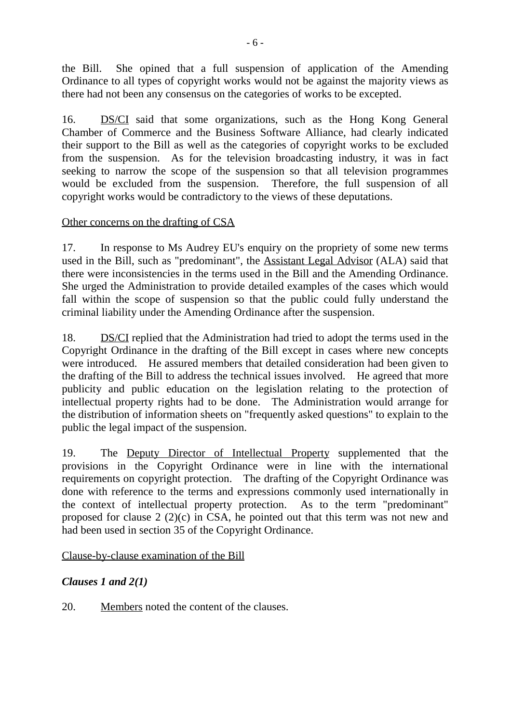the Bill. She opined that a full suspension of application of the Amending Ordinance to all types of copyright works would not be against the majority views as there had not been any consensus on the categories of works to be excepted.

16. DS/CI said that some organizations, such as the Hong Kong General Chamber of Commerce and the Business Software Alliance, had clearly indicated their support to the Bill as well as the categories of copyright works to be excluded from the suspension. As for the television broadcasting industry, it was in fact seeking to narrow the scope of the suspension so that all television programmes would be excluded from the suspension. Therefore, the full suspension of all copyright works would be contradictory to the views of these deputations.

#### Other concerns on the drafting of CSA

17. In response to Ms Audrey EU's enquiry on the propriety of some new terms used in the Bill, such as "predominant", the Assistant Legal Advisor (ALA) said that there were inconsistencies in the terms used in the Bill and the Amending Ordinance. She urged the Administration to provide detailed examples of the cases which would fall within the scope of suspension so that the public could fully understand the criminal liability under the Amending Ordinance after the suspension.

18. DS/CI replied that the Administration had tried to adopt the terms used in the Copyright Ordinance in the drafting of the Bill except in cases where new concepts were introduced. He assured members that detailed consideration had been given to the drafting of the Bill to address the technical issues involved. He agreed that more publicity and public education on the legislation relating to the protection of intellectual property rights had to be done. The Administration would arrange for the distribution of information sheets on "frequently asked questions" to explain to the public the legal impact of the suspension.

19. The Deputy Director of Intellectual Property supplemented that the provisions in the Copyright Ordinance were in line with the international requirements on copyright protection. The drafting of the Copyright Ordinance was done with reference to the terms and expressions commonly used internationally in the context of intellectual property protection. As to the term "predominant" proposed for clause 2 (2)(c) in CSA, he pointed out that this term was not new and had been used in section 35 of the Copyright Ordinance.

Clause-by-clause examination of the Bill

# *Clauses 1 and 2(1)*

20. Members noted the content of the clauses.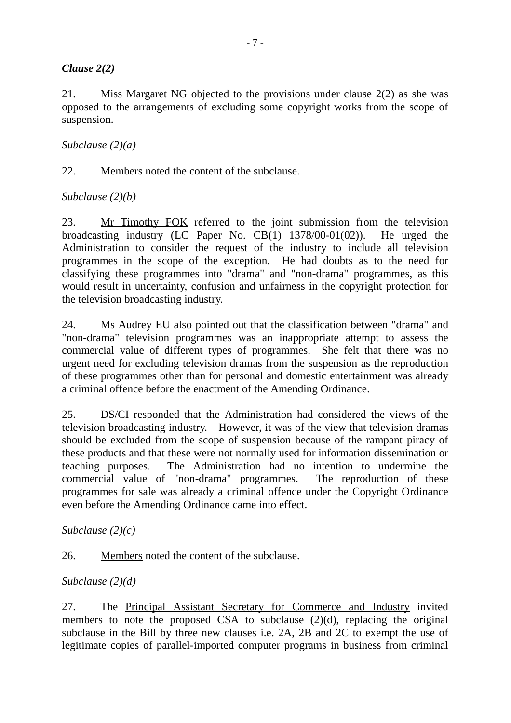#### *Clause 2(2)*

21. Miss Margaret NG objected to the provisions under clause 2(2) as she was opposed to the arrangements of excluding some copyright works from the scope of suspension.

#### *Subclause (2)(a)*

22. Members noted the content of the subclause.

#### *Subclause (2)(b)*

23. Mr Timothy FOK referred to the joint submission from the television broadcasting industry (LC Paper No. CB(1) 1378/00-01(02)). He urged the Administration to consider the request of the industry to include all television programmes in the scope of the exception. He had doubts as to the need for classifying these programmes into "drama" and "non-drama" programmes, as this would result in uncertainty, confusion and unfairness in the copyright protection for the television broadcasting industry.

24. Ms Audrey EU also pointed out that the classification between "drama" and "non-drama" television programmes was an inappropriate attempt to assess the commercial value of different types of programmes. She felt that there was no urgent need for excluding television dramas from the suspension as the reproduction of these programmes other than for personal and domestic entertainment was already a criminal offence before the enactment of the Amending Ordinance.

25. DS/CI responded that the Administration had considered the views of the television broadcasting industry. However, it was of the view that television dramas should be excluded from the scope of suspension because of the rampant piracy of these products and that these were not normally used for information dissemination or teaching purposes. The Administration had no intention to undermine the commercial value of "non-drama" programmes. The reproduction of these programmes for sale was already a criminal offence under the Copyright Ordinance even before the Amending Ordinance came into effect.

#### *Subclause (2)(c)*

26. Members noted the content of the subclause.

# *Subclause (2)(d)*

27. The Principal Assistant Secretary for Commerce and Industry invited members to note the proposed CSA to subclause (2)(d), replacing the original subclause in the Bill by three new clauses i.e. 2A, 2B and 2C to exempt the use of legitimate copies of parallel-imported computer programs in business from criminal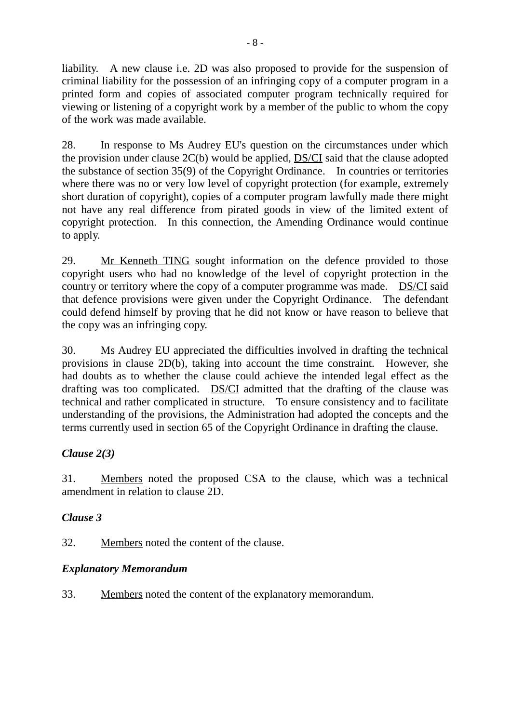liability. A new clause i.e. 2D was also proposed to provide for the suspension of criminal liability for the possession of an infringing copy of a computer program in a printed form and copies of associated computer program technically required for viewing or listening of a copyright work by a member of the public to whom the copy of the work was made available.

28. In response to Ms Audrey EU's question on the circumstances under which the provision under clause 2C(b) would be applied, DS/CI said that the clause adopted the substance of section 35(9) of the Copyright Ordinance. In countries or territories where there was no or very low level of copyright protection (for example, extremely short duration of copyright), copies of a computer program lawfully made there might not have any real difference from pirated goods in view of the limited extent of copyright protection. In this connection, the Amending Ordinance would continue to apply.

29. Mr Kenneth TING sought information on the defence provided to those copyright users who had no knowledge of the level of copyright protection in the country or territory where the copy of a computer programme was made. DS/CI said that defence provisions were given under the Copyright Ordinance. The defendant could defend himself by proving that he did not know or have reason to believe that the copy was an infringing copy.

30. Ms Audrey EU appreciated the difficulties involved in drafting the technical provisions in clause 2D(b), taking into account the time constraint. However, she had doubts as to whether the clause could achieve the intended legal effect as the drafting was too complicated. DS/CI admitted that the drafting of the clause was technical and rather complicated in structure. To ensure consistency and to facilitate understanding of the provisions, the Administration had adopted the concepts and the terms currently used in section 65 of the Copyright Ordinance in drafting the clause.

# *Clause 2(3)*

31. Members noted the proposed CSA to the clause, which was a technical amendment in relation to clause 2D.

# *Clause 3*

32. Members noted the content of the clause.

# *Explanatory Memorandum*

33. Members noted the content of the explanatory memorandum.